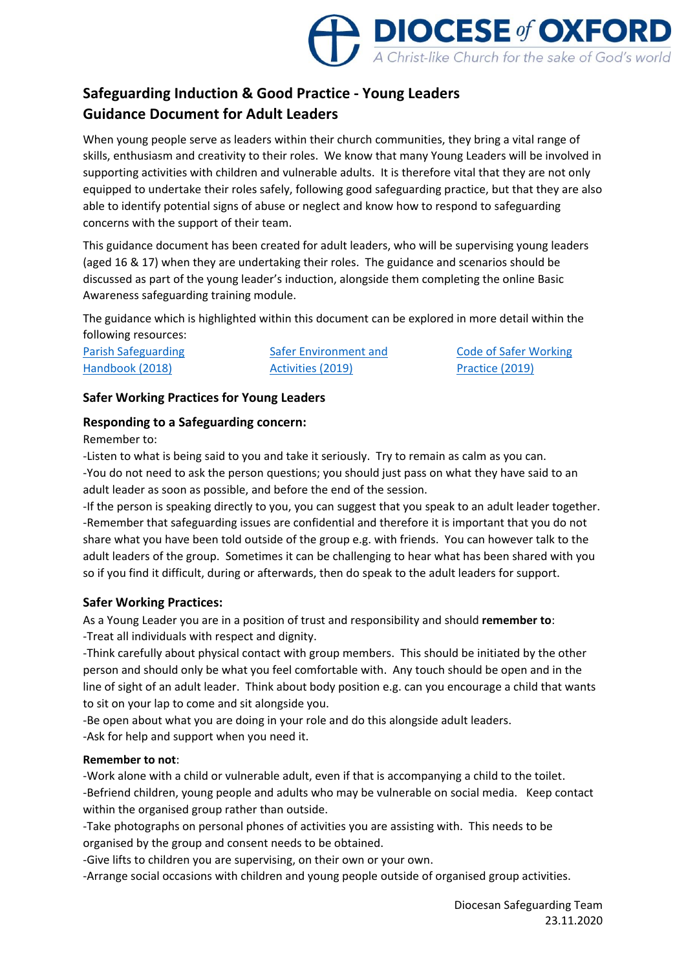

# **Safeguarding Induction & Good Practice - Young Leaders Guidance Document for Adult Leaders**

When young people serve as leaders within their church communities, they bring a vital range of skills, enthusiasm and creativity to their roles. We know that many Young Leaders will be involved in supporting activities with children and vulnerable adults. It is therefore vital that they are not only equipped to undertake their roles safely, following good safeguarding practice, but that they are also able to identify potential signs of abuse or neglect and know how to respond to safeguarding concerns with the support of their team.

This guidance document has been created for adult leaders, who will be supervising young leaders (aged 16 & 17) when they are undertaking their roles. The guidance and scenarios should be discussed as part of the young leader's induction, alongside them completing the online Basic Awareness safeguarding training module.

The guidance which is highlighted within this document can be explored in more detail within the following resources:

[Parish Safeguarding](https://www.churchofengland.org/sites/default/files/2019-10/ParishSafeGuardingHandBookAugust2019Web.pdf)  [Handbook \(2018\)](https://www.churchofengland.org/sites/default/files/2019-10/ParishSafeGuardingHandBookAugust2019Web.pdf)

[Safer Environment and](https://www.churchofengland.org/sites/default/files/2019-11/Safer%20Environment%20and%20Activities%20Oct19_0.pdf)  [Activities \(2019\)](https://www.churchofengland.org/sites/default/files/2019-11/Safer%20Environment%20and%20Activities%20Oct19_0.pdf)

[Code of Safer Working](https://www.churchofengland.org/sites/default/files/2019-10/Code%20of%20Safer%20Working%20Practice.pdf)  [Practice \(2019\)](https://www.churchofengland.org/sites/default/files/2019-10/Code%20of%20Safer%20Working%20Practice.pdf)

# **Safer Working Practices for Young Leaders**

# **Responding to a Safeguarding concern:**

Remember to:

-Listen to what is being said to you and take it seriously. Try to remain as calm as you can. -You do not need to ask the person questions; you should just pass on what they have said to an adult leader as soon as possible, and before the end of the session.

-If the person is speaking directly to you, you can suggest that you speak to an adult leader together. -Remember that safeguarding issues are confidential and therefore it is important that you do not share what you have been told outside of the group e.g. with friends. You can however talk to the adult leaders of the group. Sometimes it can be challenging to hear what has been shared with you so if you find it difficult, during or afterwards, then do speak to the adult leaders for support.

## **Safer Working Practices:**

As a Young Leader you are in a position of trust and responsibility and should **remember to**: -Treat all individuals with respect and dignity.

-Think carefully about physical contact with group members. This should be initiated by the other person and should only be what you feel comfortable with. Any touch should be open and in the line of sight of an adult leader. Think about body position e.g. can you encourage a child that wants to sit on your lap to come and sit alongside you.

-Be open about what you are doing in your role and do this alongside adult leaders. -Ask for help and support when you need it.

## **Remember to not**:

-Work alone with a child or vulnerable adult, even if that is accompanying a child to the toilet. -Befriend children, young people and adults who may be vulnerable on social media. Keep contact within the organised group rather than outside.

-Take photographs on personal phones of activities you are assisting with. This needs to be organised by the group and consent needs to be obtained.

-Give lifts to children you are supervising, on their own or your own.

-Arrange social occasions with children and young people outside of organised group activities.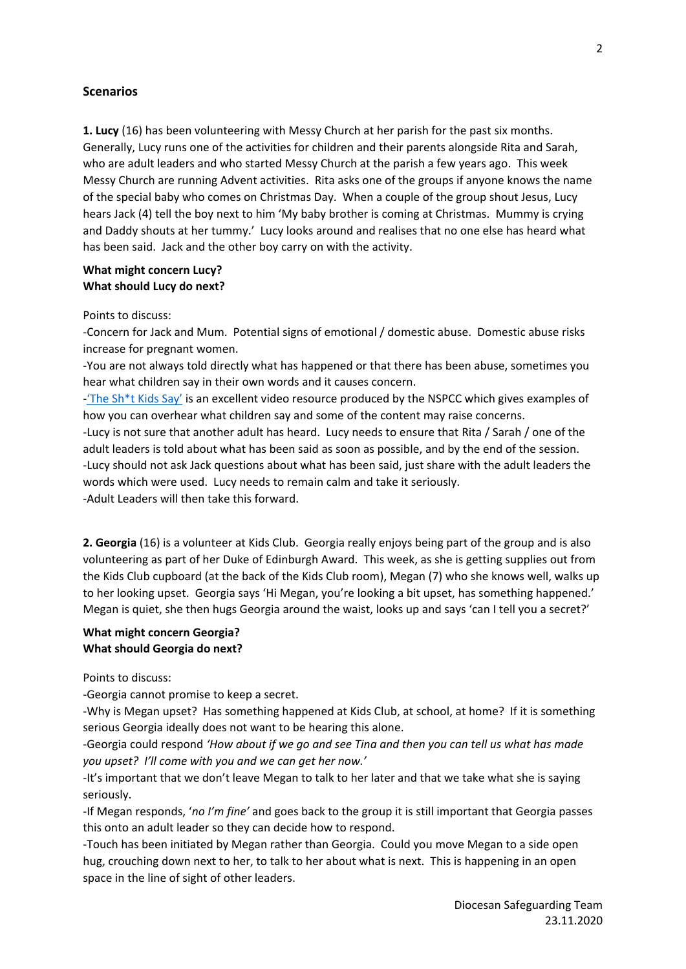#### **Scenarios**

**1. Lucy** (16) has been volunteering with Messy Church at her parish for the past six months. Generally, Lucy runs one of the activities for children and their parents alongside Rita and Sarah, who are adult leaders and who started Messy Church at the parish a few years ago. This week Messy Church are running Advent activities. Rita asks one of the groups if anyone knows the name of the special baby who comes on Christmas Day. When a couple of the group shout Jesus, Lucy hears Jack (4) tell the boy next to him 'My baby brother is coming at Christmas. Mummy is crying and Daddy shouts at her tummy.' Lucy looks around and realises that no one else has heard what has been said. Jack and the other boy carry on with the activity.

#### **What might concern Lucy? What should Lucy do next?**

Points to discuss:

-Concern for Jack and Mum. Potential signs of emotional / domestic abuse. Domestic abuse risks increase for pregnant women.

-You are not always told directly what has happened or that there has been abuse, sometimes you hear what children say in their own words and it causes concern.

-['The Sh\\*t Kids Say'](https://vimeo.com/235722426) is an excellent video resource produced by the NSPCC which gives examples of how you can overhear what children say and some of the content may raise concerns.

-Lucy is not sure that another adult has heard. Lucy needs to ensure that Rita / Sarah / one of the adult leaders is told about what has been said as soon as possible, and by the end of the session. -Lucy should not ask Jack questions about what has been said, just share with the adult leaders the words which were used. Lucy needs to remain calm and take it seriously. -Adult Leaders will then take this forward.

**2. Georgia** (16) is a volunteer at Kids Club. Georgia really enjoys being part of the group and is also volunteering as part of her Duke of Edinburgh Award. This week, as she is getting supplies out from the Kids Club cupboard (at the back of the Kids Club room), Megan (7) who she knows well, walks up to her looking upset. Georgia says 'Hi Megan, you're looking a bit upset, has something happened.' Megan is quiet, she then hugs Georgia around the waist, looks up and says 'can I tell you a secret?'

#### **What might concern Georgia? What should Georgia do next?**

Points to discuss:

-Georgia cannot promise to keep a secret.

-Why is Megan upset? Has something happened at Kids Club, at school, at home? If it is something serious Georgia ideally does not want to be hearing this alone.

-Georgia could respond *'How about if we go and see Tina and then you can tell us what has made you upset? I'll come with you and we can get her now.'*

-It's important that we don't leave Megan to talk to her later and that we take what she is saying seriously.

-If Megan responds, '*no I'm fine'* and goes back to the group it is still important that Georgia passes this onto an adult leader so they can decide how to respond.

-Touch has been initiated by Megan rather than Georgia. Could you move Megan to a side open hug, crouching down next to her, to talk to her about what is next. This is happening in an open space in the line of sight of other leaders.